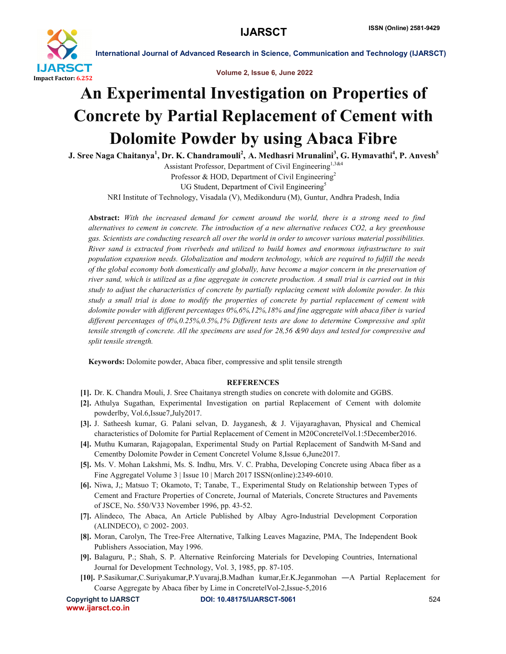

International Journal of Advanced Research in Science, Communication and Technology (IJARSCT)

Volume 2, Issue 6, June 2022

## An Experimental Investigation on Properties of Concrete by Partial Replacement of Cement with Dolomite Powder by using Abaca Fibre

J. Sree Naga Chaitanya<sup>1</sup>, Dr. K. Chandramouli<sup>2</sup>, A. Medhasri Mrunalini<sup>3</sup>, G. Hymavathi<sup>4</sup>, P. Anvesh<sup>5</sup>

Assistant Professor, Department of Civil Engineering<sup>1,3&4</sup> Professor & HOD, Department of Civil Engineering<sup>2</sup>

UG Student, Department of Civil Engineering<sup>5</sup>

NRI Institute of Technology, Visadala (V), Medikonduru (M), Guntur, Andhra Pradesh, India

Abstract: *With the increased demand for cement around the world, there is a strong need to find alternatives to cement in concrete. The introduction of a new alternative reduces CO2, a key greenhouse gas. Scientists are conducting research all over the world in order to uncover various material possibilities. River sand is extracted from riverbeds and utilized to build homes and enormous infrastructure to suit population expansion needs. Globalization and modern technology, which are required to fulfill the needs of the global economy both domestically and globally, have become a major concern in the preservation of river sand, which is utilized as a fine aggregate in concrete production. A small trial is carried out in this study to adjust the characteristics of concrete by partially replacing cement with dolomite powder. In this study a small trial is done to modify the properties of concrete by partial replacement of cement with dolomite powder with different percentages 0%,6%,12%,18% and fine aggregate with abaca fiber is varied different percentages of 0%,0.25%,0.5%,1% Different tests are done to determine Compressive and split tensile strength of concrete. All the specimens are used for 28,56 &90 days and tested for compressive and split tensile strength.*

Keywords: Dolomite powder, Abaca fiber, compressive and split tensile strength

## **REFERENCES**

- [1]. Dr. K. Chandra Mouli, J. Sree Chaitanya strength studies on concrete with dolomite and GGBS.
- [2]. Athulya Sugathan, Experimental Investigation on partial Replacement of Cement with dolomite powder‖by, Vol.6,Issue7,July2017.
- [3]. J. Satheesh kumar, G. Palani selvan, D. Jayganesh, & J. Vijayaraghavan, Physical and Chemical characteristics of Dolomite for Partial Replacement of Cement in M20Concrete‖Vol.1:5December2016.
- [4]. Muthu Kumaran, Rajagopalan, Experimental Study on Partial Replacement of Sandwith M-Sand and Cementby Dolomite Powder in Cement Concrete‖ Volume 8,Issue 6,June2017.
- [5]. Ms. V. Mohan Lakshmi, Ms. S. Indhu, Mrs. V. C. Prabha, Developing Concrete using Abaca fiber as a Fine Aggregatel Volume 3 | Issue 10 | March 2017 ISSN(online): 2349-6010.
- [6]. Niwa, J,; Matsuo T; Okamoto, T; Tanabe, T., Experimental Study on Relationship between Types of Cement and Fracture Properties of Concrete, Journal of Materials, Concrete Structures and Pavements of JSCE, No. 550/V33 November 1996, pp. 43-52.
- [7]. Alindeco, The Abaca, An Article Published by Albay Agro-Industrial Development Corporation (ALINDECO), © 2002- 2003.
- [8]. Moran, Carolyn, The Tree-Free Alternative, Talking Leaves Magazine, PMA, The Independent Book Publishers Association, May 1996.
- [9]. Balaguru, P.; Shah, S. P. Alternative Reinforcing Materials for Developing Countries, International Journal for Development Technology, Vol. 3, 1985, pp. 87-105.
- [10]. P.Sasikumar,C.Suriyakumar,P.Yuvaraj,B.Madhan kumar,Er.K.Jeganmohan ―A Partial Replacement for Coarse Aggregate by Abaca fiber by Lime in Concrete‖Vol-2,Issue-5,2016

www.ijarsct.co.in